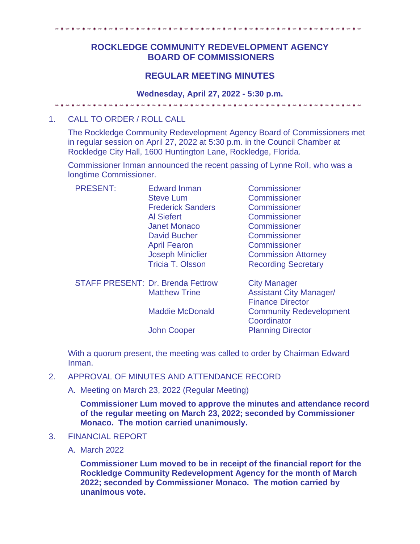# **ROCKLEDGE COMMUNITY REDEVELOPMENT AGENCY BOARD OF COMMISSIONERS**

## **REGULAR MEETING MINUTES**

#### **Wednesday, April 27, 2022 - 5:30 p.m.**

## 1. CALL TO ORDER / ROLL CALL

The Rockledge Community Redevelopment Agency Board of Commissioners met in regular session on April 27, 2022 at 5:30 p.m. in the Council Chamber at Rockledge City Hall, 1600 Huntington Lane, Rockledge, Florida.

Commissioner Inman announced the recent passing of Lynne Roll, who was a longtime Commissioner.

| <b>Edward Inman</b>                      | Commissioner                   |
|------------------------------------------|--------------------------------|
| <b>Steve Lum</b>                         | Commissioner                   |
| <b>Frederick Sanders</b>                 | Commissioner                   |
| <b>Al Siefert</b>                        | Commissioner                   |
| <b>Janet Monaco</b>                      | Commissioner                   |
| <b>David Bucher</b>                      | Commissioner                   |
| <b>April Fearon</b>                      | Commissioner                   |
| <b>Joseph Miniclier</b>                  | <b>Commission Attorney</b>     |
| <b>Tricia T. Olsson</b>                  | <b>Recording Secretary</b>     |
| <b>STAFF PRESENT: Dr. Brenda Fettrow</b> | <b>City Manager</b>            |
| <b>Matthew Trine</b>                     | <b>Assistant City Manager/</b> |
|                                          | <b>Finance Director</b>        |
| <b>Maddie McDonald</b>                   | <b>Community Redevelopment</b> |
|                                          | Coordinator                    |
| <b>John Cooper</b>                       | <b>Planning Director</b>       |
|                                          |                                |

With a quorum present, the meeting was called to order by Chairman Edward Inman.

- 2. APPROVAL OF MINUTES AND ATTENDANCE RECORD
	- A. Meeting on March 23, 2022 (Regular Meeting)

**Commissioner Lum moved to approve the minutes and attendance record of the regular meeting on March 23, 2022; seconded by Commissioner Monaco. The motion carried unanimously.** 

- 3. FINANCIAL REPORT
	- A. March 2022

**Commissioner Lum moved to be in receipt of the financial report for the Rockledge Community Redevelopment Agency for the month of March 2022; seconded by Commissioner Monaco. The motion carried by unanimous vote.**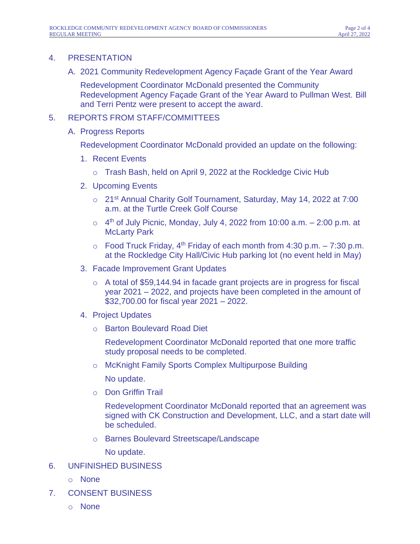## 4. PRESENTATION

A. 2021 Community Redevelopment Agency Façade Grant of the Year Award

Redevelopment Coordinator McDonald presented the Community Redevelopment Agency Façade Grant of the Year Award to Pullman West. Bill and Terri Pentz were present to accept the award.

## 5. REPORTS FROM STAFF/COMMITTEES

A. Progress Reports

Redevelopment Coordinator McDonald provided an update on the following:

- 1. Recent Events
	- o Trash Bash, held on April 9, 2022 at the Rockledge Civic Hub
- 2. Upcoming Events
	- o 21st Annual Charity Golf Tournament, Saturday, May 14, 2022 at 7:00 a.m. at the Turtle Creek Golf Course
	- $\circ$  4<sup>th</sup> of July Picnic, Monday, July 4, 2022 from 10:00 a.m.  $-$  2:00 p.m. at McLarty Park
	- $\circ$  Food Truck Friday, 4<sup>th</sup> Friday of each month from 4:30 p.m. 7:30 p.m. at the Rockledge City Hall/Civic Hub parking lot (no event held in May)
- 3. Facade Improvement Grant Updates
	- o A total of \$59,144.94 in facade grant projects are in progress for fiscal year 2021 – 2022, and projects have been completed in the amount of \$32,700.00 for fiscal year 2021 – 2022.
- 4. Project Updates
	- o Barton Boulevard Road Diet

Redevelopment Coordinator McDonald reported that one more traffic study proposal needs to be completed.

o McKnight Family Sports Complex Multipurpose Building

No update.

o Don Griffin Trail

Redevelopment Coordinator McDonald reported that an agreement was signed with CK Construction and Development, LLC, and a start date will be scheduled.

o Barnes Boulevard Streetscape/Landscape

No update.

- 6. UNFINISHED BUSINESS
	- o None
- 7. CONSENT BUSINESS
	- o None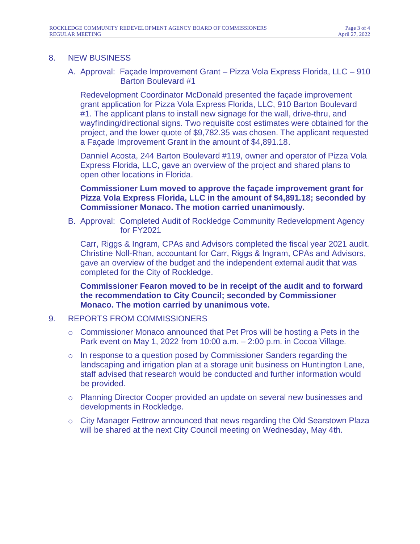#### 8. NEW BUSINESS

#### A. Approval: Façade Improvement Grant – Pizza Vola Express Florida, LLC – 910 Barton Boulevard #1

Redevelopment Coordinator McDonald presented the façade improvement grant application for Pizza Vola Express Florida, LLC, 910 Barton Boulevard #1. The applicant plans to install new signage for the wall, drive-thru, and wayfinding/directional signs. Two requisite cost estimates were obtained for the project, and the lower quote of \$9,782.35 was chosen. The applicant requested a Façade Improvement Grant in the amount of \$4,891.18.

Danniel Acosta, 244 Barton Boulevard #119, owner and operator of Pizza Vola Express Florida, LLC, gave an overview of the project and shared plans to open other locations in Florida.

### **Commissioner Lum moved to approve the façade improvement grant for Pizza Vola Express Florida, LLC in the amount of \$4,891.18; seconded by Commissioner Monaco. The motion carried unanimously.**

B. Approval: Completed Audit of Rockledge Community Redevelopment Agency for FY2021

Carr, Riggs & Ingram, CPAs and Advisors completed the fiscal year 2021 audit. Christine Noll-Rhan, accountant for Carr, Riggs & Ingram, CPAs and Advisors, gave an overview of the budget and the independent external audit that was completed for the City of Rockledge.

**Commissioner Fearon moved to be in receipt of the audit and to forward the recommendation to City Council; seconded by Commissioner Monaco. The motion carried by unanimous vote.** 

#### 9. REPORTS FROM COMMISSIONERS

- o Commissioner Monaco announced that Pet Pros will be hosting a Pets in the Park event on May 1, 2022 from 10:00 a.m. – 2:00 p.m. in Cocoa Village.
- $\circ$  In response to a question posed by Commissioner Sanders regarding the landscaping and irrigation plan at a storage unit business on Huntington Lane, staff advised that research would be conducted and further information would be provided.
- o Planning Director Cooper provided an update on several new businesses and developments in Rockledge.
- o City Manager Fettrow announced that news regarding the Old Searstown Plaza will be shared at the next City Council meeting on Wednesday, May 4th.